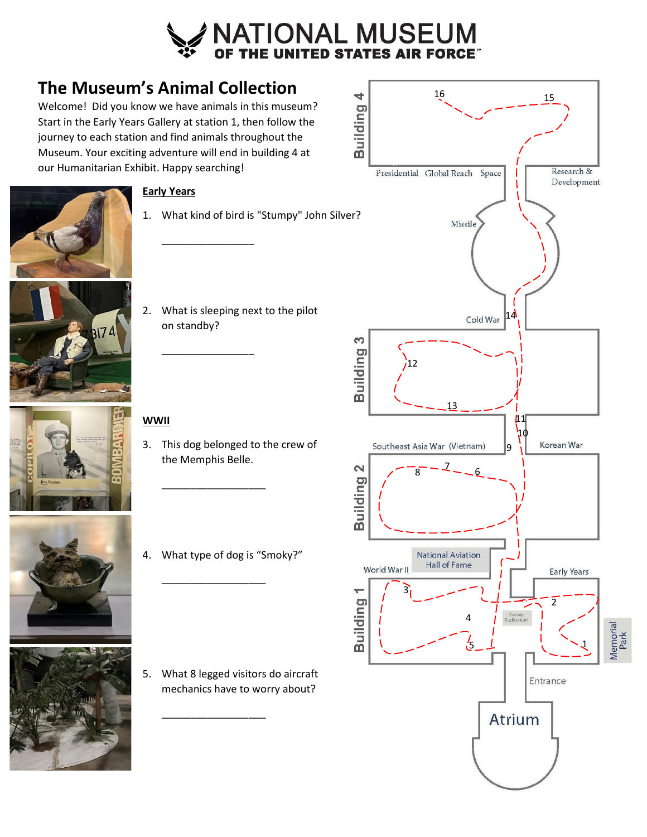

# **The Museum's Animal Collection**

Welcome! Did you know we have animals in this museum? Start in the Early Years Gallery at station 1, then follow the journey to each station and find animals throughout the Museum. Your exciting adventure will end in building 4 at our Humanitarian Exhibit. Happy searching!





# **Early Years**

- 1. What kind of bird is "Stumpy" John Silver?
- 2. What is sleeping next to the pilot on standby?

\_\_\_\_\_\_\_\_\_\_\_\_\_\_\_\_

\_\_\_\_\_\_\_\_\_\_\_\_\_\_\_\_

# **WWII**

- 3. This dog belonged to the crew of the Memphis Belle.
- 



4. What type of dog is "Smoky?"

\_\_\_\_\_\_\_\_\_\_\_\_\_\_\_\_\_\_

\_\_\_\_\_\_\_\_\_\_\_\_\_\_\_\_\_\_

5. What 8 legged visitors do aircraft mechanics have to worry about?

\_\_\_\_\_\_\_\_\_\_\_\_\_\_\_\_\_\_

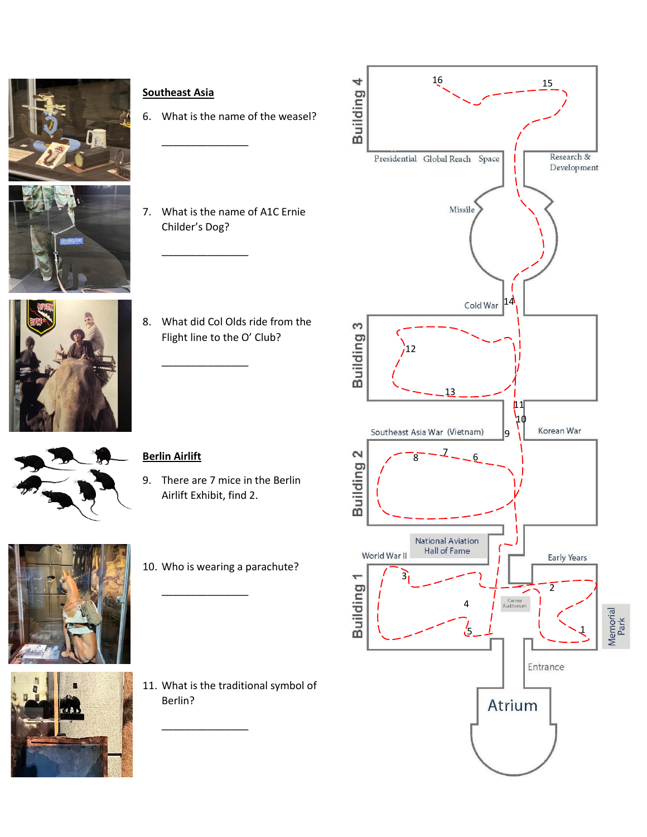![](_page_1_Picture_0.jpeg)

![](_page_1_Picture_1.jpeg)

![](_page_1_Picture_2.jpeg)

![](_page_1_Picture_3.jpeg)

6. What is the name of the weasel?

 $\overline{\phantom{a}}$  , where  $\overline{\phantom{a}}$  , where  $\overline{\phantom{a}}$ 

\_\_\_\_\_\_\_\_\_\_\_\_\_\_\_

\_\_\_\_\_\_\_\_\_\_\_\_\_\_\_

- 7. What is the name of A1C Ernie Childer's Dog?
- 8. What did Col Olds ride from the Flight line to the O' Club?

![](_page_1_Picture_7.jpeg)

### **Berlin Airlift**

9. There are 7 mice in the Berlin Airlift Exhibit, find 2.

10. Who is wearing a parachute?

\_\_\_\_\_\_\_\_\_\_\_\_\_\_\_

\_\_\_\_\_\_\_\_\_\_\_\_\_\_\_

![](_page_1_Picture_10.jpeg)

![](_page_1_Picture_11.jpeg)

11. What is the traditional symbol of Berlin?

![](_page_1_Figure_13.jpeg)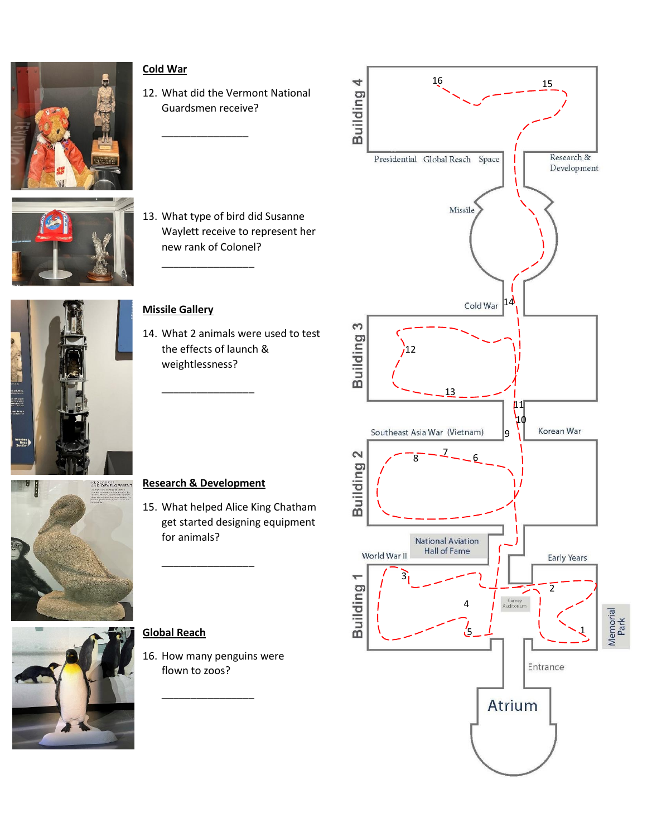![](_page_2_Picture_0.jpeg)

![](_page_2_Picture_1.jpeg)

![](_page_2_Picture_2.jpeg)

# **Cold War**

12. What did the Vermont National Guardsmen receive?

\_\_\_\_\_\_\_\_\_\_\_\_\_\_\_

\_\_\_\_\_\_\_\_\_\_\_\_\_\_\_\_

13. What type of bird did Susanne Waylett receive to represent her new rank of Colonel?

## **Missile Gallery**

14. What 2 animals were used to test the effects of launch & weightlessness?

![](_page_2_Picture_8.jpeg)

# **Research & Development**

\_\_\_\_\_\_\_\_\_\_\_\_\_\_\_\_

\_\_\_\_\_\_\_\_\_\_\_\_\_\_\_\_

15. What helped Alice King Chatham get started designing equipment for animals?

![](_page_2_Picture_11.jpeg)

### **Global Reach**

16. How many penguins were flown to zoos?

\_\_\_\_\_\_\_\_\_\_\_\_\_\_\_\_

![](_page_2_Figure_14.jpeg)